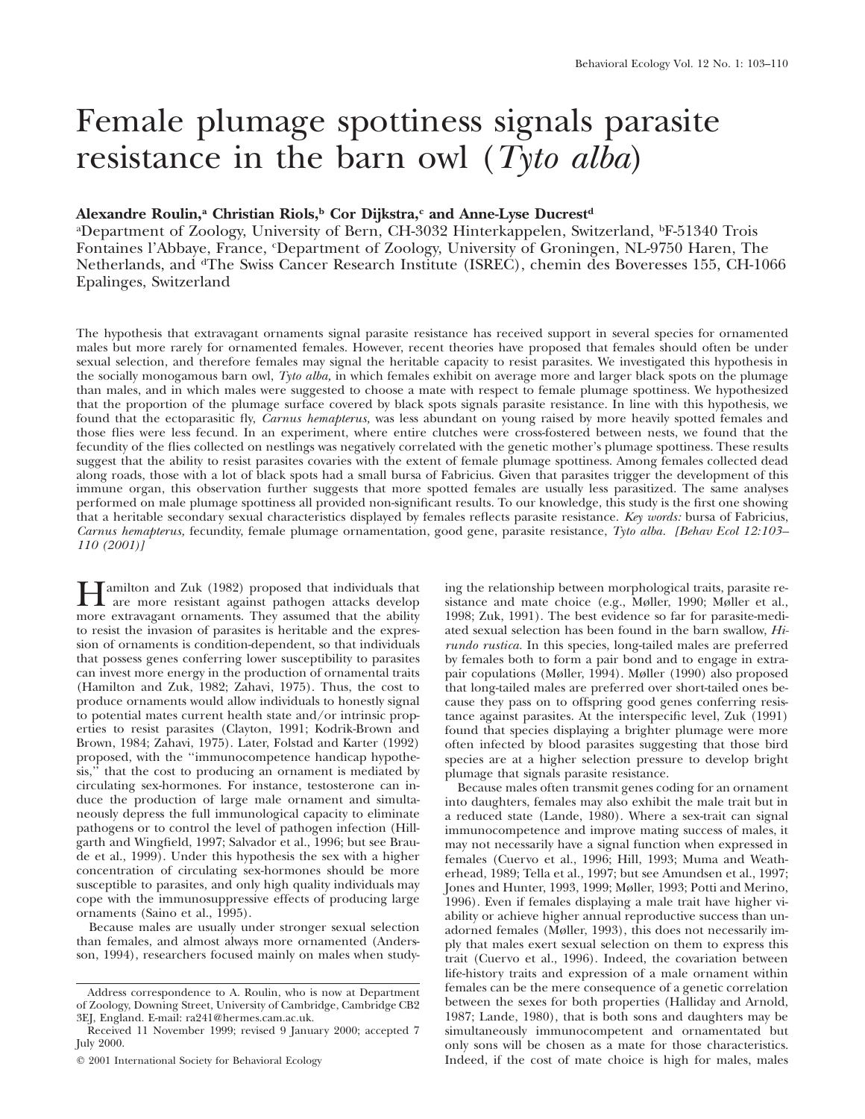# Female plumage spottiness signals parasite resistance in the barn owl (*Tyto alba*)

## Alexandre Roulin,<sup>a</sup> Christian Riols,<sup>b</sup> Cor Dijkstra,<sup>c</sup> and Anne-Lyse Ducrest<sup>d</sup>

a Department of Zoology, University of Bern, CH-3032 Hinterkappelen, Switzerland, bF-51340 Trois Fontaines l'Abbaye, France, <sup>c</sup> Department of Zoology, University of Groningen, NL-9750 Haren, The Netherlands, and <sup>d</sup>The Swiss Cancer Research Institute (ISREC), chemin des Boveresses 155, CH-1066 Epalinges, Switzerland

The hypothesis that extravagant ornaments signal parasite resistance has received support in several species for ornamented males but more rarely for ornamented females. However, recent theories have proposed that females should often be under sexual selection, and therefore females may signal the heritable capacity to resist parasites. We investigated this hypothesis in the socially monogamous barn owl, *Tyto alba,* in which females exhibit on average more and larger black spots on the plumage than males, and in which males were suggested to choose a mate with respect to female plumage spottiness. We hypothesized that the proportion of the plumage surface covered by black spots signals parasite resistance. In line with this hypothesis, we found that the ectoparasitic fly, *Carnus hemapterus,* was less abundant on young raised by more heavily spotted females and those flies were less fecund. In an experiment, where entire clutches were cross-fostered between nests, we found that the fecundity of the flies collected on nestlings was negatively correlated with the genetic mother's plumage spottiness. These results suggest that the ability to resist parasites covaries with the extent of female plumage spottiness. Among females collected dead along roads, those with a lot of black spots had a small bursa of Fabricius. Given that parasites trigger the development of this immune organ, this observation further suggests that more spotted females are usually less parasitized. The same analyses performed on male plumage spottiness all provided non-significant results. To our knowledge, this study is the first one showing that a heritable secondary sexual characteristics displayed by females reflects parasite resistance. *Key words:* bursa of Fabricius, *Carnus hemapterus,* fecundity, female plumage ornamentation, good gene, parasite resistance, *Tyto alba. [Behav Ecol 12:103– 110 (2001)]*

**Hamilton and Zuk (1982) proposed that individuals that**<br>are more resistant against pathogen attacks develop<br>more extravagant croments. They assumed that the obility more extravagant ornaments. They assumed that the ability to resist the invasion of parasites is heritable and the expression of ornaments is condition-dependent, so that individuals that possess genes conferring lower susceptibility to parasites can invest more energy in the production of ornamental traits (Hamilton and Zuk, 1982; Zahavi, 1975). Thus, the cost to produce ornaments would allow individuals to honestly signal to potential mates current health state and/or intrinsic properties to resist parasites (Clayton, 1991; Kodrik-Brown and Brown, 1984; Zahavi, 1975). Later, Folstad and Karter (1992) proposed, with the ''immunocompetence handicap hypothesis,'' that the cost to producing an ornament is mediated by circulating sex-hormones. For instance, testosterone can induce the production of large male ornament and simultaneously depress the full immunological capacity to eliminate pathogens or to control the level of pathogen infection (Hillgarth and Wingfield, 1997; Salvador et al., 1996; but see Braude et al., 1999). Under this hypothesis the sex with a higher concentration of circulating sex-hormones should be more susceptible to parasites, and only high quality individuals may cope with the immunosuppressive effects of producing large ornaments (Saino et al., 1995).

Because males are usually under stronger sexual selection than females, and almost always more ornamented (Andersson, 1994), researchers focused mainly on males when studying the relationship between morphological traits, parasite resistance and mate choice (e.g., Møller, 1990; Møller et al., 1998; Zuk, 1991). The best evidence so far for parasite-mediated sexual selection has been found in the barn swallow, *Hirundo rustica.* In this species, long-tailed males are preferred by females both to form a pair bond and to engage in extrapair copulations (Møller, 1994). Møller (1990) also proposed that long-tailed males are preferred over short-tailed ones because they pass on to offspring good genes conferring resistance against parasites. At the interspecific level, Zuk (1991) found that species displaying a brighter plumage were more often infected by blood parasites suggesting that those bird species are at a higher selection pressure to develop bright plumage that signals parasite resistance.

Because males often transmit genes coding for an ornament into daughters, females may also exhibit the male trait but in a reduced state (Lande, 1980). Where a sex-trait can signal immunocompetence and improve mating success of males, it may not necessarily have a signal function when expressed in females (Cuervo et al., 1996; Hill, 1993; Muma and Weatherhead, 1989; Tella et al., 1997; but see Amundsen et al., 1997; Jones and Hunter, 1993, 1999; Møller, 1993; Potti and Merino, 1996). Even if females displaying a male trait have higher viability or achieve higher annual reproductive success than unadorned females (Møller, 1993), this does not necessarily imply that males exert sexual selection on them to express this trait (Cuervo et al., 1996). Indeed, the covariation between life-history traits and expression of a male ornament within females can be the mere consequence of a genetic correlation between the sexes for both properties (Halliday and Arnold, 1987; Lande, 1980), that is both sons and daughters may be simultaneously immunocompetent and ornamentated but only sons will be chosen as a mate for those characteristics. Indeed, if the cost of mate choice is high for males, males

Address correspondence to A. Roulin, who is now at Department of Zoology, Downing Street, University of Cambridge, Cambridge CB2 3EJ, England. E-mail: ra241@hermes.cam.ac.uk.

Received 11 November 1999; revised 9 January 2000; accepted 7 July 2000.

2001 International Society for Behavioral Ecology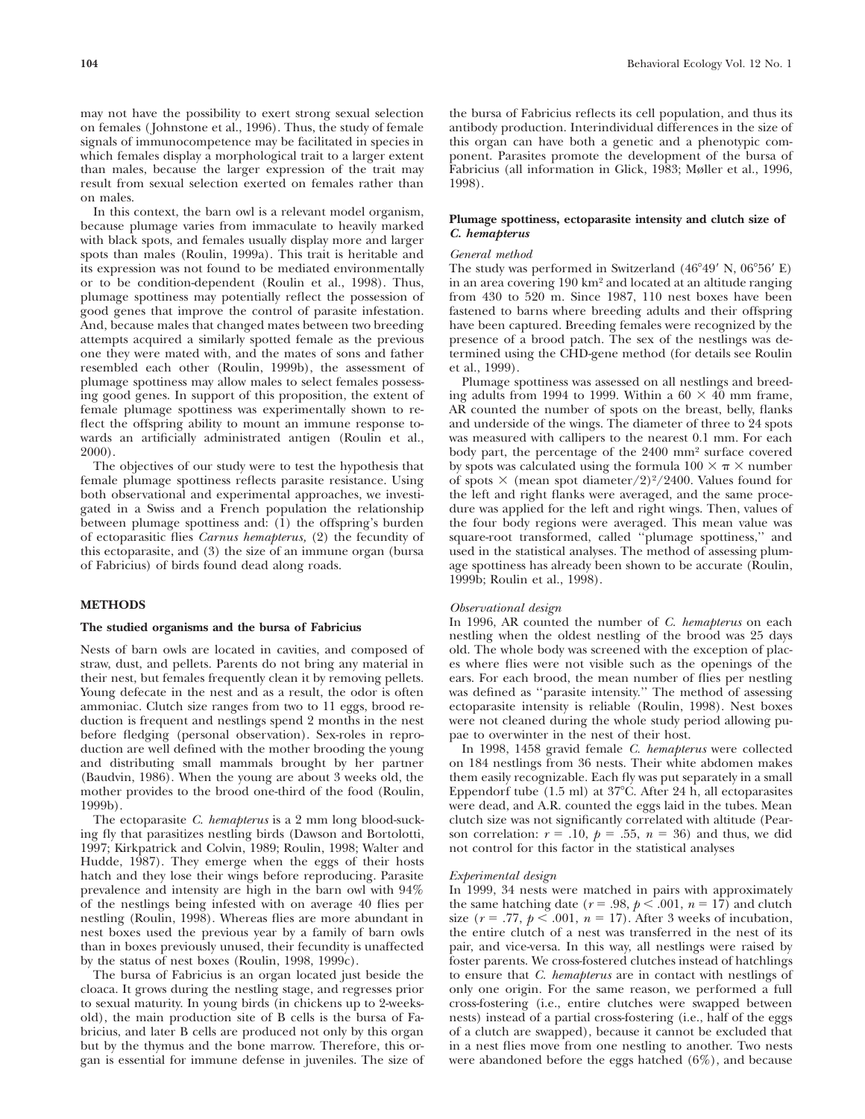may not have the possibility to exert strong sexual selection on females ( Johnstone et al., 1996). Thus, the study of female signals of immunocompetence may be facilitated in species in which females display a morphological trait to a larger extent than males, because the larger expression of the trait may result from sexual selection exerted on females rather than on males.

In this context, the barn owl is a relevant model organism, because plumage varies from immaculate to heavily marked with black spots, and females usually display more and larger spots than males (Roulin, 1999a). This trait is heritable and its expression was not found to be mediated environmentally or to be condition-dependent (Roulin et al., 1998). Thus, plumage spottiness may potentially reflect the possession of good genes that improve the control of parasite infestation. And, because males that changed mates between two breeding attempts acquired a similarly spotted female as the previous one they were mated with, and the mates of sons and father resembled each other (Roulin, 1999b), the assessment of plumage spottiness may allow males to select females possessing good genes. In support of this proposition, the extent of female plumage spottiness was experimentally shown to reflect the offspring ability to mount an immune response towards an artificially administrated antigen (Roulin et al., 2000).

The objectives of our study were to test the hypothesis that female plumage spottiness reflects parasite resistance. Using both observational and experimental approaches, we investigated in a Swiss and a French population the relationship between plumage spottiness and: (1) the offspring's burden of ectoparasitic flies *Carnus hemapterus,* (2) the fecundity of this ectoparasite, and (3) the size of an immune organ (bursa of Fabricius) of birds found dead along roads.

## **METHODS**

## **The studied organisms and the bursa of Fabricius**

Nests of barn owls are located in cavities, and composed of straw, dust, and pellets. Parents do not bring any material in their nest, but females frequently clean it by removing pellets. Young defecate in the nest and as a result, the odor is often ammoniac. Clutch size ranges from two to 11 eggs, brood reduction is frequent and nestlings spend 2 months in the nest before fledging (personal observation). Sex-roles in reproduction are well defined with the mother brooding the young and distributing small mammals brought by her partner (Baudvin, 1986). When the young are about 3 weeks old, the mother provides to the brood one-third of the food (Roulin, 1999b).

The ectoparasite *C. hemapterus* is a 2 mm long blood-sucking fly that parasitizes nestling birds (Dawson and Bortolotti, 1997; Kirkpatrick and Colvin, 1989; Roulin, 1998; Walter and Hudde, 1987). They emerge when the eggs of their hosts hatch and they lose their wings before reproducing. Parasite prevalence and intensity are high in the barn owl with 94% of the nestlings being infested with on average 40 flies per nestling (Roulin, 1998). Whereas flies are more abundant in nest boxes used the previous year by a family of barn owls than in boxes previously unused, their fecundity is unaffected by the status of nest boxes (Roulin, 1998, 1999c).

The bursa of Fabricius is an organ located just beside the cloaca. It grows during the nestling stage, and regresses prior to sexual maturity. In young birds (in chickens up to 2-weeksold), the main production site of B cells is the bursa of Fabricius, and later B cells are produced not only by this organ but by the thymus and the bone marrow. Therefore, this organ is essential for immune defense in juveniles. The size of the bursa of Fabricius reflects its cell population, and thus its antibody production. Interindividual differences in the size of this organ can have both a genetic and a phenotypic component. Parasites promote the development of the bursa of Fabricius (all information in Glick, 1983; Møller et al., 1996, 1998).

## **Plumage spottiness, ectoparasite intensity and clutch size of** *C. hemapterus*

## *General method*

The study was performed in Switzerland  $(46^{\circ}49' \text{ N}, 06^{\circ}56' \text{ E})$ in an area covering 190 km2 and located at an altitude ranging from 430 to 520 m. Since 1987, 110 nest boxes have been fastened to barns where breeding adults and their offspring have been captured. Breeding females were recognized by the presence of a brood patch. The sex of the nestlings was determined using the CHD-gene method (for details see Roulin et al., 1999).

Plumage spottiness was assessed on all nestlings and breeding adults from 1994 to 1999. Within a  $60 \times 40$  mm frame, AR counted the number of spots on the breast, belly, flanks and underside of the wings. The diameter of three to 24 spots was measured with callipers to the nearest 0.1 mm. For each body part, the percentage of the 2400 mm2 surface covered by spots was calculated using the formula  $100 \times \pi \times$  number of spots  $\times$  (mean spot diameter/2)<sup>2</sup>/2400. Values found for the left and right flanks were averaged, and the same procedure was applied for the left and right wings. Then, values of the four body regions were averaged. This mean value was square-root transformed, called ''plumage spottiness,'' and used in the statistical analyses. The method of assessing plumage spottiness has already been shown to be accurate (Roulin, 1999b; Roulin et al., 1998).

## *Observational design*

In 1996, AR counted the number of *C. hemapterus* on each nestling when the oldest nestling of the brood was 25 days old. The whole body was screened with the exception of places where flies were not visible such as the openings of the ears. For each brood, the mean number of flies per nestling was defined as ''parasite intensity.'' The method of assessing ectoparasite intensity is reliable (Roulin, 1998). Nest boxes were not cleaned during the whole study period allowing pupae to overwinter in the nest of their host.

In 1998, 1458 gravid female *C. hemapterus* were collected on 184 nestlings from 36 nests. Their white abdomen makes them easily recognizable. Each fly was put separately in a small Eppendorf tube (1.5 ml) at 37C. After 24 h, all ectoparasites were dead, and A.R. counted the eggs laid in the tubes. Mean clutch size was not significantly correlated with altitude (Pearson correlation:  $r = .10$ ,  $p = .55$ ,  $n = 36$ ) and thus, we did not control for this factor in the statistical analyses

#### *Experimental design*

In 1999, 34 nests were matched in pairs with approximately the same hatching date ( $r = .98$ ,  $p < .001$ ,  $n = 17$ ) and clutch size ( $r = .77$ ,  $p < .001$ ,  $n = 17$ ). After 3 weeks of incubation, the entire clutch of a nest was transferred in the nest of its pair, and vice-versa. In this way, all nestlings were raised by foster parents. We cross-fostered clutches instead of hatchlings to ensure that *C. hemapterus* are in contact with nestlings of only one origin. For the same reason, we performed a full cross-fostering (i.e., entire clutches were swapped between nests) instead of a partial cross-fostering (i.e., half of the eggs of a clutch are swapped), because it cannot be excluded that in a nest flies move from one nestling to another. Two nests were abandoned before the eggs hatched (6%), and because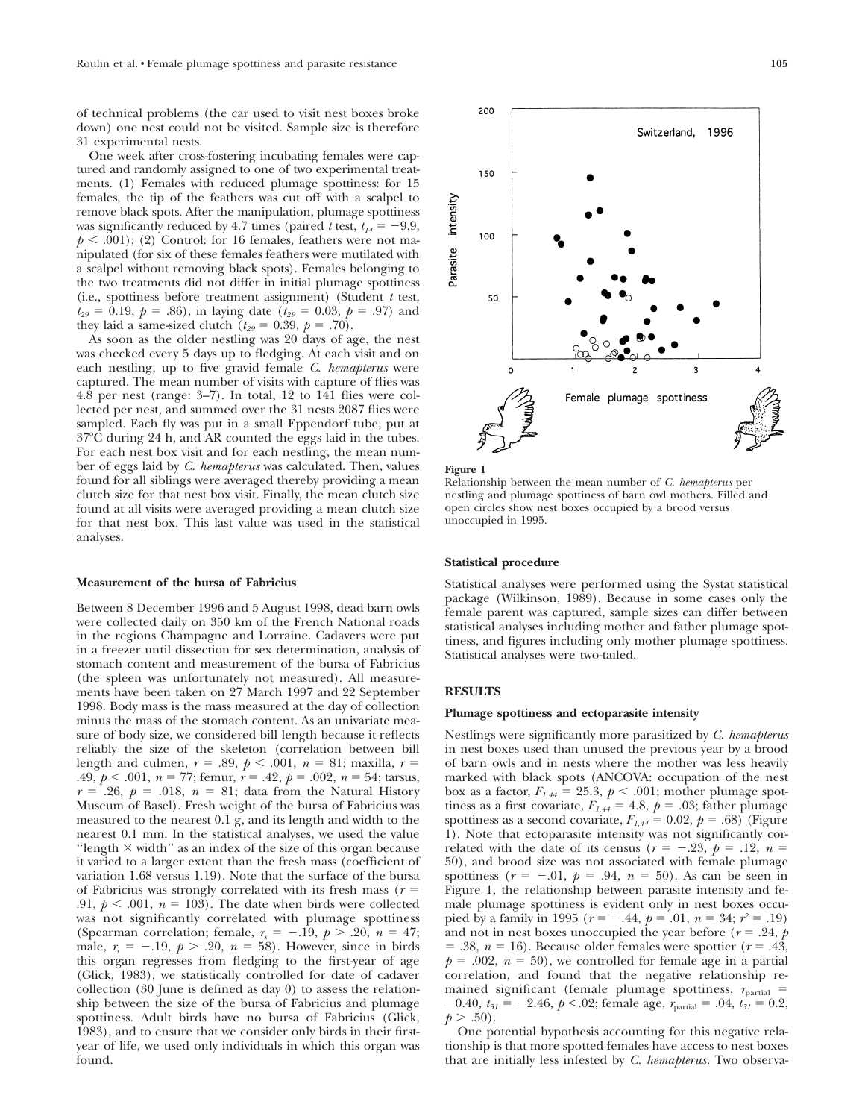of technical problems (the car used to visit nest boxes broke down) one nest could not be visited. Sample size is therefore 31 experimental nests.

One week after cross-fostering incubating females were captured and randomly assigned to one of two experimental treatments. (1) Females with reduced plumage spottiness: for 15 females, the tip of the feathers was cut off with a scalpel to remove black spots. After the manipulation, plumage spottiness was significantly reduced by 4.7 times (paired *t* test,  $t_{14} = -9.9$ ,  $p < .001$ ; (2) Control: for 16 females, feathers were not manipulated (for six of these females feathers were mutilated with a scalpel without removing black spots). Females belonging to the two treatments did not differ in initial plumage spottiness (i.e., spottiness before treatment assignment) (Student *t* test,  $t_{29} = 0.19, p = .86$ , in laying date ( $t_{29} = 0.03, p = .97$ ) and they laid a same-sized clutch  $(t_{29} = 0.39, p = .70)$ .

As soon as the older nestling was 20 days of age, the nest was checked every 5 days up to fledging. At each visit and on each nestling, up to five gravid female *C. hemapterus* were captured. The mean number of visits with capture of flies was 4.8 per nest (range: 3–7). In total, 12 to 141 flies were collected per nest, and summed over the 31 nests 2087 flies were sampled. Each fly was put in a small Eppendorf tube, put at 37C during 24 h, and AR counted the eggs laid in the tubes. For each nest box visit and for each nestling, the mean number of eggs laid by *C. hemapterus* was calculated. Then, values found for all siblings were averaged thereby providing a mean clutch size for that nest box visit. Finally, the mean clutch size found at all visits were averaged providing a mean clutch size for that nest box. This last value was used in the statistical analyses.

#### **Measurement of the bursa of Fabricius**

Between 8 December 1996 and 5 August 1998, dead barn owls were collected daily on 350 km of the French National roads in the regions Champagne and Lorraine. Cadavers were put in a freezer until dissection for sex determination, analysis of stomach content and measurement of the bursa of Fabricius (the spleen was unfortunately not measured). All measurements have been taken on 27 March 1997 and 22 September 1998. Body mass is the mass measured at the day of collection minus the mass of the stomach content. As an univariate measure of body size, we considered bill length because it reflects reliably the size of the skeleton (correlation between bill length and culmen,  $r = .89$ ,  $p < .001$ ,  $n = 81$ ; maxilla,  $r =$ .49,  $p < .001$ ,  $n = 77$ ; femur,  $r = .42$ ,  $p = .002$ ,  $n = 54$ ; tarsus,  $r = .26$ ,  $p = .018$ ,  $n = 81$ ; data from the Natural History Museum of Basel). Fresh weight of the bursa of Fabricius was measured to the nearest 0.1 g, and its length and width to the nearest 0.1 mm. In the statistical analyses, we used the value "length  $\times$  width" as an index of the size of this organ because it varied to a larger extent than the fresh mass (coefficient of variation 1.68 versus 1.19). Note that the surface of the bursa of Fabricius was strongly correlated with its fresh mass (*r* .91,  $p < .001$ ,  $n = 103$ ). The date when birds were collected was not significantly correlated with plumage spottiness (Spearman correlation; female,  $r_s = -.19$ ,  $p > .20$ ,  $n = 47$ ; male,  $r_s = -.19$ ,  $p > .20$ ,  $n = 58$ ). However, since in birds this organ regresses from fledging to the first-year of age (Glick, 1983), we statistically controlled for date of cadaver collection (30 June is defined as day 0) to assess the relationship between the size of the bursa of Fabricius and plumage spottiness. Adult birds have no bursa of Fabricius (Glick, 1983), and to ensure that we consider only birds in their firstyear of life, we used only individuals in which this organ was found.



**Figure 1**

Relationship between the mean number of *C. hemapterus* per nestling and plumage spottiness of barn owl mothers. Filled and open circles show nest boxes occupied by a brood versus unoccupied in 1995.

#### **Statistical procedure**

Statistical analyses were performed using the Systat statistical package (Wilkinson, 1989). Because in some cases only the female parent was captured, sample sizes can differ between statistical analyses including mother and father plumage spottiness, and figures including only mother plumage spottiness. Statistical analyses were two-tailed.

## **RESULTS**

#### **Plumage spottiness and ectoparasite intensity**

Nestlings were significantly more parasitized by *C. hemapterus* in nest boxes used than unused the previous year by a brood of barn owls and in nests where the mother was less heavily marked with black spots (ANCOVA: occupation of the nest box as a factor,  $F_{1,44} = 25.3$ ,  $p < .001$ ; mother plumage spottiness as a first covariate,  $F_{1,44} = 4.8$ ,  $p = .03$ ; father plumage spottiness as a second covariate,  $F_{1,44} = 0.02$ ,  $p = .68$ ) (Figure 1). Note that ectoparasite intensity was not significantly correlated with the date of its census ( $r = -.23$ ,  $p = .12$ ,  $n =$ 50), and brood size was not associated with female plumage spottiness  $(r = -.01, p = .94, n = 50)$ . As can be seen in Figure 1, the relationship between parasite intensity and female plumage spottiness is evident only in nest boxes occupied by a family in 1995 ( $r = -.44$ ,  $p = .01$ ,  $n = 34$ ;  $r^2 = .19$ ) and not in nest boxes unoccupied the year before ( $r = .24$ ,  $p$ )  $= .38$ ,  $n = 16$ ). Because older females were spottier ( $r = .43$ ,  $p = .002$ ,  $n = 50$ , we controlled for female age in a partial correlation, and found that the negative relationship remained significant (female plumage spottiness,  $r_{\text{partial}}$  =  $-0.40$ ,  $t_{31} = -2.46$ ,  $p < 0.02$ ; female age,  $r_{\text{partial}} = 0.4$ ,  $t_{31} = 0.2$ ,  $p > .50$ ).

One potential hypothesis accounting for this negative relationship is that more spotted females have access to nest boxes that are initially less infested by *C. hemapterus.* Two observa-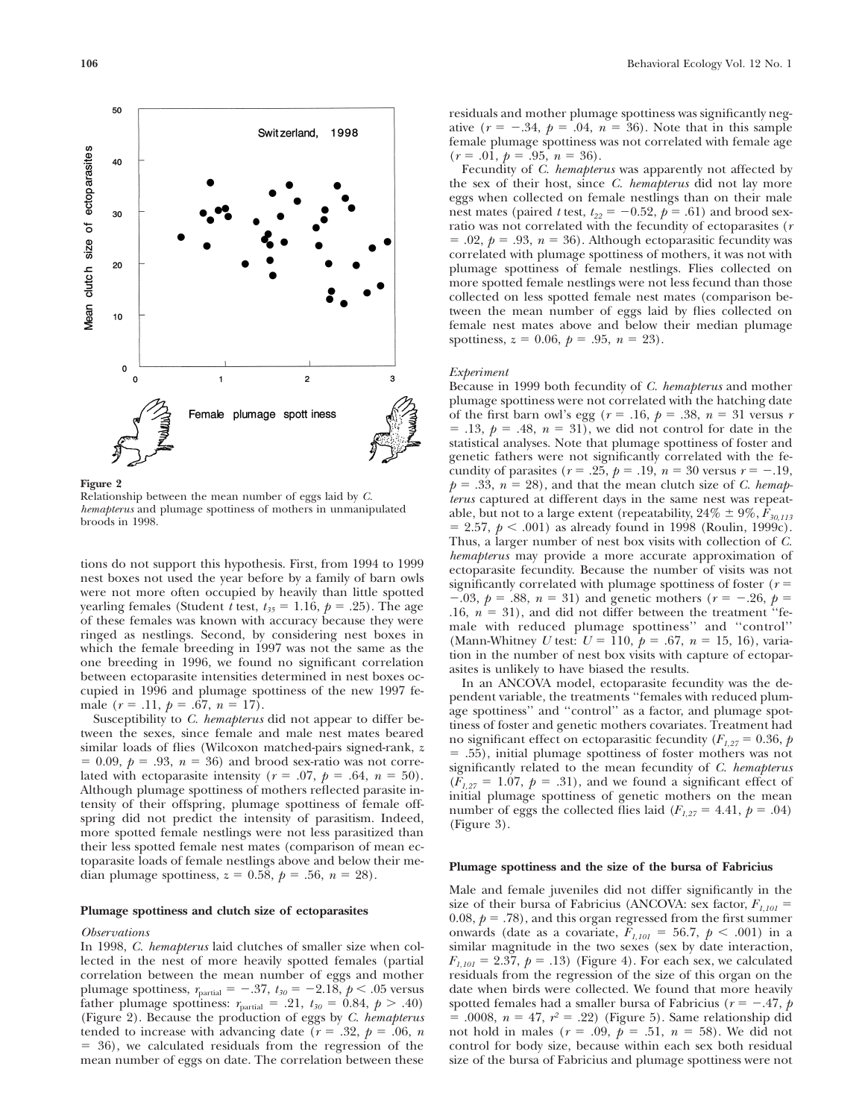

**Figure 2**

Relationship between the mean number of eggs laid by *C. hemapterus* and plumage spottiness of mothers in unmanipulated broods in 1998.

tions do not support this hypothesis. First, from 1994 to 1999 nest boxes not used the year before by a family of barn owls were not more often occupied by heavily than little spotted yearling females (Student *t* test,  $t_{35} = 1.16$ ,  $p = .25$ ). The age of these females was known with accuracy because they were ringed as nestlings. Second, by considering nest boxes in which the female breeding in 1997 was not the same as the one breeding in 1996, we found no significant correlation between ectoparasite intensities determined in nest boxes occupied in 1996 and plumage spottiness of the new 1997 female  $(r = .11, p = .67, n = 17)$ .

Susceptibility to *C. hemapterus* did not appear to differ between the sexes, since female and male nest mates beared similar loads of flies (Wilcoxon matched-pairs signed-rank, *z*  $= 0.09, p = .93, n = 36$ ) and brood sex-ratio was not correlated with ectoparasite intensity ( $r = .07$ ,  $p = .64$ ,  $n = 50$ ). Although plumage spottiness of mothers reflected parasite intensity of their offspring, plumage spottiness of female offspring did not predict the intensity of parasitism. Indeed, more spotted female nestlings were not less parasitized than their less spotted female nest mates (comparison of mean ectoparasite loads of female nestlings above and below their median plumage spottiness,  $z = 0.58$ ,  $p = .56$ ,  $n = 28$ ).

#### **Plumage spottiness and clutch size of ectoparasites**

## *Observations*

In 1998, *C. hemapterus* laid clutches of smaller size when collected in the nest of more heavily spotted females (partial correlation between the mean number of eggs and mother plumage spottiness,  $r_{\text{partial}} = -.37$ ,  $t_{30} = -2.18$ ,  $p < .05$  versus father plumage spottiness:  $r_{\text{partial}} = .21, t_{30} = 0.84, p > .40$ ) (Figure 2). Because the production of eggs by *C. hemapterus* tended to increase with advancing date ( $r = .32$ ,  $p = .06$ , *n*  36), we calculated residuals from the regression of the mean number of eggs on date. The correlation between these residuals and mother plumage spottiness was significantly negative  $(r = -.34, p = .04, n = 36)$ . Note that in this sample female plumage spottiness was not correlated with female age  $(r = .01, p = .95, n = 36).$ 

Fecundity of *C. hemapterus* was apparently not affected by the sex of their host, since *C. hemapterus* did not lay more eggs when collected on female nestlings than on their male nest mates (paired *t* test,  $t_{22} = -0.52$ ,  $p = .61$ ) and brood sexratio was not correlated with the fecundity of ectoparasites (*r*  $= .02, p = .93, n = 36$ . Although ectoparasitic fecundity was correlated with plumage spottiness of mothers, it was not with plumage spottiness of female nestlings. Flies collected on more spotted female nestlings were not less fecund than those collected on less spotted female nest mates (comparison between the mean number of eggs laid by flies collected on female nest mates above and below their median plumage spottiness,  $z = 0.06$ ,  $p = .95$ ,  $n = 23$ ).

#### *Experiment*

Because in 1999 both fecundity of *C. hemapterus* and mother plumage spottiness were not correlated with the hatching date of the first barn owl's egg ( $r = .16$ ,  $p = .38$ ,  $n = 31$  versus  $r$  $= .13, p = .48, n = 31$ , we did not control for date in the statistical analyses. Note that plumage spottiness of foster and genetic fathers were not significantly correlated with the fecundity of parasites ( $r = .25$ ,  $p = .19$ ,  $n = 30$  versus  $r = -.19$ ,  $p = .33, n = 28$ , and that the mean clutch size of *C. hemapterus* captured at different days in the same nest was repeatable, but not to a large extent (repeatability,  $24\% \pm 9\%, F_{30,113}$ )  $= 2.57, p \leq .001$ ) as already found in 1998 (Roulin, 1999c). Thus, a larger number of nest box visits with collection of *C. hemapterus* may provide a more accurate approximation of ectoparasite fecundity. Because the number of visits was not significantly correlated with plumage spottiness of foster (*r*  $-0.03$ ,  $p = 0.88$ ,  $n = 31$ ) and genetic mothers ( $r = -.26$ ,  $p =$ .16,  $n = 31$ ), and did not differ between the treatment "female with reduced plumage spottiness'' and ''control'' (Mann-Whitney *U* test:  $U = 110$ ,  $p = .67$ ,  $n = 15, 16$ ), variation in the number of nest box visits with capture of ectoparasites is unlikely to have biased the results.

In an ANCOVA model, ectoparasite fecundity was the dependent variable, the treatments ''females with reduced plumage spottiness'' and ''control'' as a factor, and plumage spottiness of foster and genetic mothers covariates. Treatment had no significant effect on ectoparasitic fecundity ( $F_{1,27} = 0.36$ , *p*  .55), initial plumage spottiness of foster mothers was not significantly related to the mean fecundity of *C. hemapterus*  $(F_{1,27} = 1.07, p = .31)$ , and we found a significant effect of initial plumage spottiness of genetic mothers on the mean number of eggs the collected flies laid ( $F_{1,27} = 4.41$ ,  $p = .04$ ) (Figure 3).

#### **Plumage spottiness and the size of the bursa of Fabricius**

Male and female juveniles did not differ significantly in the size of their bursa of Fabricius (ANCOVA: sex factor,  $F_{1,101}$  = 0.08,  $p = .78$ ), and this organ regressed from the first summer onwards (date as a covariate,  $F_{1,101} = 56.7$ ,  $p < .001$ ) in a similar magnitude in the two sexes (sex by date interaction,  $F_{1,101} = 2.37$ ,  $p = .13$ ) (Figure 4). For each sex, we calculated residuals from the regression of the size of this organ on the date when birds were collected. We found that more heavily spotted females had a smaller bursa of Fabricius ( $r = -.47$ ,  $p$  $= .0008$ ,  $n = 47$ ,  $r^2 = .22$ ) (Figure 5). Same relationship did not hold in males ( $r = .09$ ,  $p = .51$ ,  $n = 58$ ). We did not control for body size, because within each sex both residual size of the bursa of Fabricius and plumage spottiness were not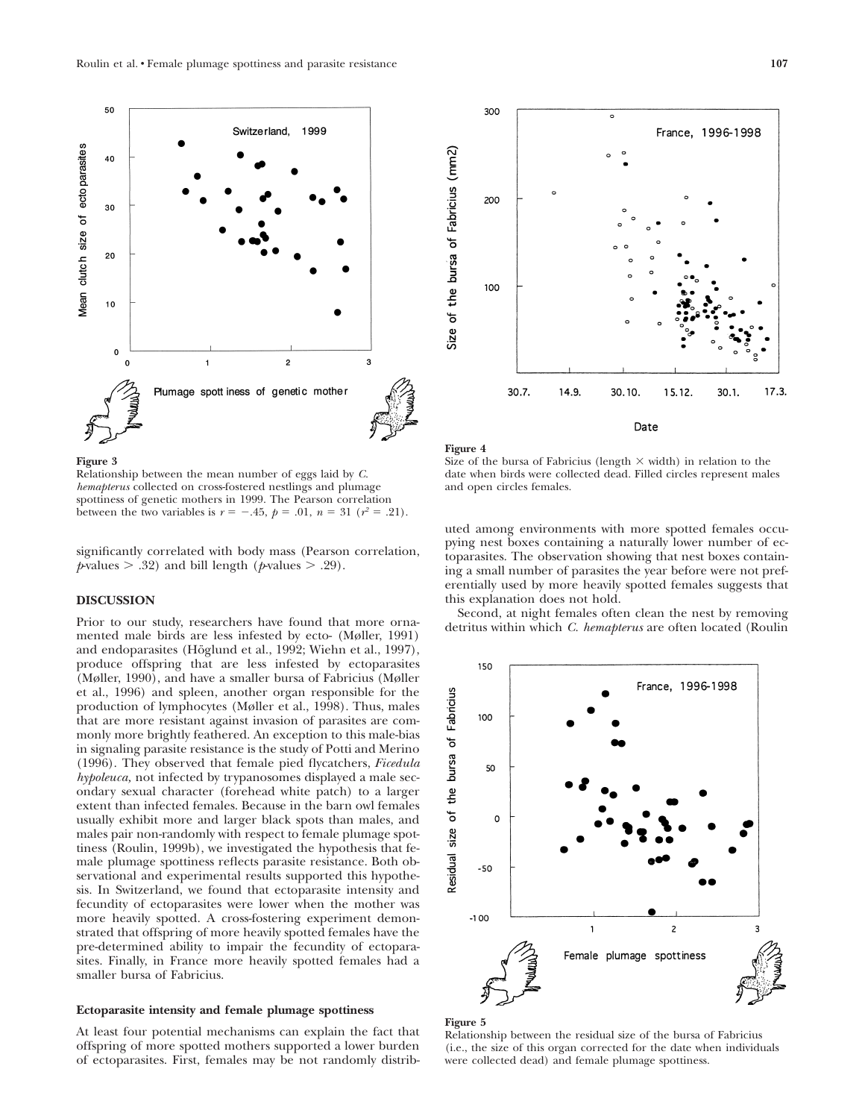



Relationship between the mean number of eggs laid by *C. hemapterus* collected on cross-fostered nestlings and plumage spottiness of genetic mothers in 1999. The Pearson correlation between the two variables is  $r = -.45$ ,  $p = .01$ ,  $n = 31$  ( $r^2 = .21$ ).

significantly correlated with body mass (Pearson correlation,  $p$ -values  $> .32$ ) and bill length ( $p$ -values  $> .29$ ).

#### **DISCUSSION**

Prior to our study, researchers have found that more ornamented male birds are less infested by ecto- (Møller, 1991) and endoparasites (Höglund et al., 1992; Wiehn et al., 1997), produce offspring that are less infested by ectoparasites (Møller, 1990), and have a smaller bursa of Fabricius (Møller et al., 1996) and spleen, another organ responsible for the production of lymphocytes (Møller et al., 1998). Thus, males that are more resistant against invasion of parasites are commonly more brightly feathered. An exception to this male-bias in signaling parasite resistance is the study of Potti and Merino (1996). They observed that female pied flycatchers, *Ficedula hypoleuca,* not infected by trypanosomes displayed a male secondary sexual character (forehead white patch) to a larger extent than infected females. Because in the barn owl females usually exhibit more and larger black spots than males, and males pair non-randomly with respect to female plumage spottiness (Roulin, 1999b), we investigated the hypothesis that female plumage spottiness reflects parasite resistance. Both observational and experimental results supported this hypothesis. In Switzerland, we found that ectoparasite intensity and fecundity of ectoparasites were lower when the mother was more heavily spotted. A cross-fostering experiment demonstrated that offspring of more heavily spotted females have the pre-determined ability to impair the fecundity of ectoparasites. Finally, in France more heavily spotted females had a smaller bursa of Fabricius.

## **Ectoparasite intensity and female plumage spottiness**

At least four potential mechanisms can explain the fact that offspring of more spotted mothers supported a lower burden of ectoparasites. First, females may be not randomly distrib-



**Figure 4** Size of the bursa of Fabricius (length  $\times$  width) in relation to the

date when birds were collected dead. Filled circles represent males and open circles females.

uted among environments with more spotted females occupying nest boxes containing a naturally lower number of ectoparasites. The observation showing that nest boxes containing a small number of parasites the year before were not preferentially used by more heavily spotted females suggests that this explanation does not hold.

Second, at night females often clean the nest by removing detritus within which *C. hemapterus* are often located (Roulin



**Figure 5**

Relationship between the residual size of the bursa of Fabricius (i.e., the size of this organ corrected for the date when individuals were collected dead) and female plumage spottiness.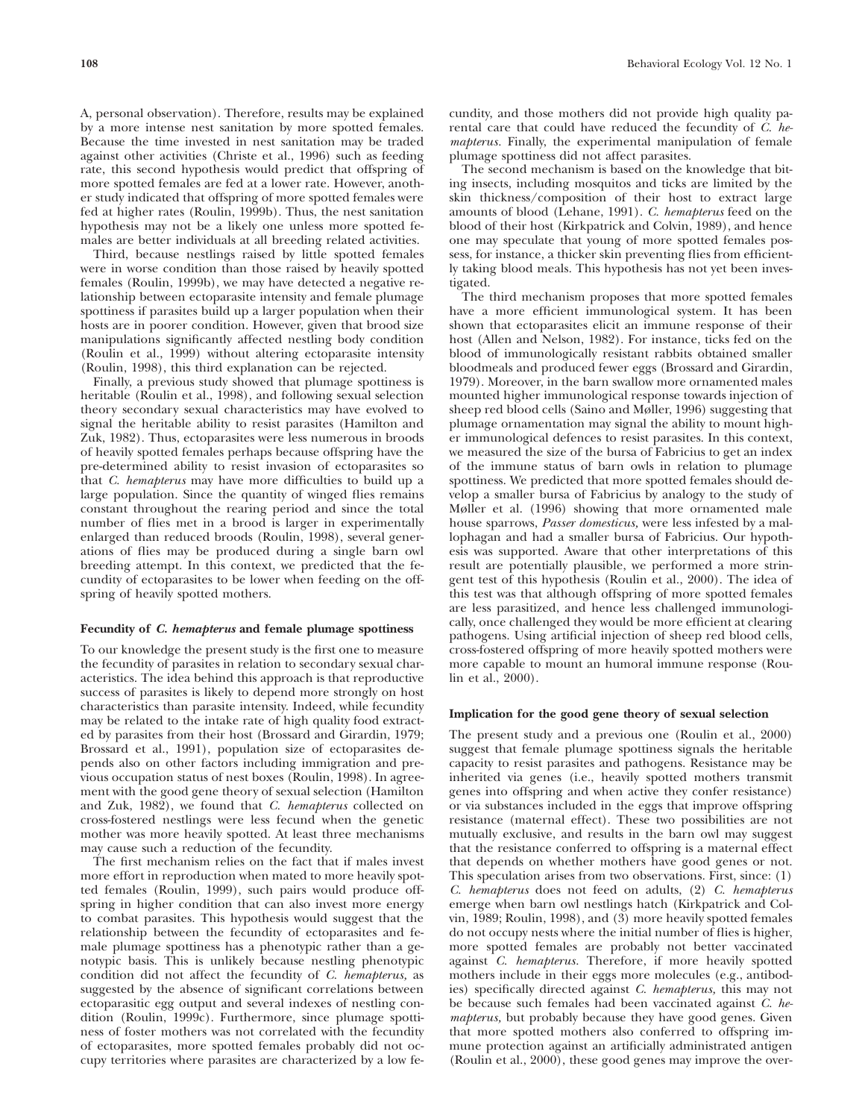A, personal observation). Therefore, results may be explained by a more intense nest sanitation by more spotted females. Because the time invested in nest sanitation may be traded against other activities (Christe et al., 1996) such as feeding rate, this second hypothesis would predict that offspring of more spotted females are fed at a lower rate. However, another study indicated that offspring of more spotted females were fed at higher rates (Roulin, 1999b). Thus, the nest sanitation hypothesis may not be a likely one unless more spotted females are better individuals at all breeding related activities.

Third, because nestlings raised by little spotted females were in worse condition than those raised by heavily spotted females (Roulin, 1999b), we may have detected a negative relationship between ectoparasite intensity and female plumage spottiness if parasites build up a larger population when their hosts are in poorer condition. However, given that brood size manipulations significantly affected nestling body condition (Roulin et al., 1999) without altering ectoparasite intensity (Roulin, 1998), this third explanation can be rejected.

Finally, a previous study showed that plumage spottiness is heritable (Roulin et al., 1998), and following sexual selection theory secondary sexual characteristics may have evolved to signal the heritable ability to resist parasites (Hamilton and Zuk, 1982). Thus, ectoparasites were less numerous in broods of heavily spotted females perhaps because offspring have the pre-determined ability to resist invasion of ectoparasites so that *C. hemapterus* may have more difficulties to build up a large population. Since the quantity of winged flies remains constant throughout the rearing period and since the total number of flies met in a brood is larger in experimentally enlarged than reduced broods (Roulin, 1998), several generations of flies may be produced during a single barn owl breeding attempt. In this context, we predicted that the fecundity of ectoparasites to be lower when feeding on the offspring of heavily spotted mothers.

#### **Fecundity of** *C. hemapterus* **and female plumage spottiness**

To our knowledge the present study is the first one to measure the fecundity of parasites in relation to secondary sexual characteristics. The idea behind this approach is that reproductive success of parasites is likely to depend more strongly on host characteristics than parasite intensity. Indeed, while fecundity may be related to the intake rate of high quality food extracted by parasites from their host (Brossard and Girardin, 1979; Brossard et al., 1991), population size of ectoparasites depends also on other factors including immigration and previous occupation status of nest boxes (Roulin, 1998). In agreement with the good gene theory of sexual selection (Hamilton and Zuk, 1982), we found that *C. hemapterus* collected on cross-fostered nestlings were less fecund when the genetic mother was more heavily spotted. At least three mechanisms may cause such a reduction of the fecundity.

The first mechanism relies on the fact that if males invest more effort in reproduction when mated to more heavily spotted females (Roulin, 1999), such pairs would produce offspring in higher condition that can also invest more energy to combat parasites. This hypothesis would suggest that the relationship between the fecundity of ectoparasites and female plumage spottiness has a phenotypic rather than a genotypic basis. This is unlikely because nestling phenotypic condition did not affect the fecundity of *C. hemapterus,* as suggested by the absence of significant correlations between ectoparasitic egg output and several indexes of nestling condition (Roulin, 1999c). Furthermore, since plumage spottiness of foster mothers was not correlated with the fecundity of ectoparasites, more spotted females probably did not occupy territories where parasites are characterized by a low fecundity, and those mothers did not provide high quality parental care that could have reduced the fecundity of *C. hemapterus.* Finally, the experimental manipulation of female plumage spottiness did not affect parasites.

The second mechanism is based on the knowledge that biting insects, including mosquitos and ticks are limited by the skin thickness/composition of their host to extract large amounts of blood (Lehane, 1991). *C. hemapterus* feed on the blood of their host (Kirkpatrick and Colvin, 1989), and hence one may speculate that young of more spotted females possess, for instance, a thicker skin preventing flies from efficiently taking blood meals. This hypothesis has not yet been investigated.

The third mechanism proposes that more spotted females have a more efficient immunological system. It has been shown that ectoparasites elicit an immune response of their host (Allen and Nelson, 1982). For instance, ticks fed on the blood of immunologically resistant rabbits obtained smaller bloodmeals and produced fewer eggs (Brossard and Girardin, 1979). Moreover, in the barn swallow more ornamented males mounted higher immunological response towards injection of sheep red blood cells (Saino and Møller, 1996) suggesting that plumage ornamentation may signal the ability to mount higher immunological defences to resist parasites. In this context, we measured the size of the bursa of Fabricius to get an index of the immune status of barn owls in relation to plumage spottiness. We predicted that more spotted females should develop a smaller bursa of Fabricius by analogy to the study of Møller et al. (1996) showing that more ornamented male house sparrows, *Passer domesticus,* were less infested by a mallophagan and had a smaller bursa of Fabricius. Our hypothesis was supported. Aware that other interpretations of this result are potentially plausible, we performed a more stringent test of this hypothesis (Roulin et al., 2000). The idea of this test was that although offspring of more spotted females are less parasitized, and hence less challenged immunologically, once challenged they would be more efficient at clearing pathogens. Using artificial injection of sheep red blood cells, cross-fostered offspring of more heavily spotted mothers were more capable to mount an humoral immune response (Roulin et al., 2000).

## **Implication for the good gene theory of sexual selection**

The present study and a previous one (Roulin et al., 2000) suggest that female plumage spottiness signals the heritable capacity to resist parasites and pathogens. Resistance may be inherited via genes (i.e., heavily spotted mothers transmit genes into offspring and when active they confer resistance) or via substances included in the eggs that improve offspring resistance (maternal effect). These two possibilities are not mutually exclusive, and results in the barn owl may suggest that the resistance conferred to offspring is a maternal effect that depends on whether mothers have good genes or not. This speculation arises from two observations. First, since: (1) *C. hemapterus* does not feed on adults, (2) *C. hemapterus* emerge when barn owl nestlings hatch (Kirkpatrick and Colvin, 1989; Roulin, 1998), and (3) more heavily spotted females do not occupy nests where the initial number of flies is higher, more spotted females are probably not better vaccinated against *C. hemapterus.* Therefore, if more heavily spotted mothers include in their eggs more molecules (e.g., antibodies) specifically directed against *C. hemapterus,* this may not be because such females had been vaccinated against *C. hemapterus,* but probably because they have good genes. Given that more spotted mothers also conferred to offspring immune protection against an artificially administrated antigen (Roulin et al., 2000), these good genes may improve the over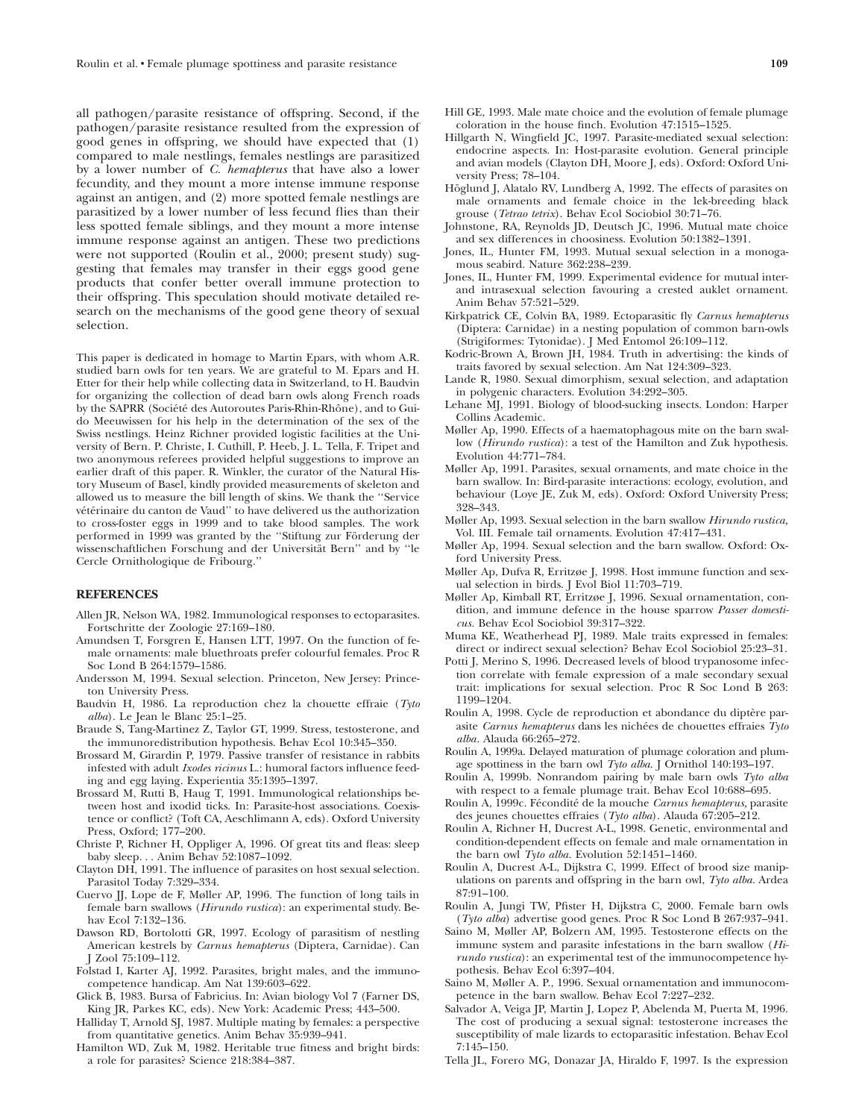all pathogen/parasite resistance of offspring. Second, if the pathogen/parasite resistance resulted from the expression of good genes in offspring, we should have expected that (1) compared to male nestlings, females nestlings are parasitized by a lower number of *C. hemapterus* that have also a lower fecundity, and they mount a more intense immune response against an antigen, and (2) more spotted female nestlings are parasitized by a lower number of less fecund flies than their less spotted female siblings, and they mount a more intense immune response against an antigen. These two predictions were not supported (Roulin et al., 2000; present study) suggesting that females may transfer in their eggs good gene products that confer better overall immune protection to their offspring. This speculation should motivate detailed research on the mechanisms of the good gene theory of sexual selection.

This paper is dedicated in homage to Martin Epars, with whom A.R. studied barn owls for ten years. We are grateful to M. Epars and H. Etter for their help while collecting data in Switzerland, to H. Baudvin for organizing the collection of dead barn owls along French roads by the SAPRR (Société des Autoroutes Paris-Rhin-Rhône), and to Guido Meeuwissen for his help in the determination of the sex of the Swiss nestlings. Heinz Richner provided logistic facilities at the University of Bern. P. Christe, I. Cuthill, P. Heeb, J. L. Tella, F. Tripet and two anonymous referees provided helpful suggestions to improve an earlier draft of this paper. R. Winkler, the curator of the Natural History Museum of Basel, kindly provided measurements of skeleton and allowed us to measure the bill length of skins. We thank the ''Service vétérinaire du canton de Vaud" to have delivered us the authorization to cross-foster eggs in 1999 and to take blood samples. The work performed in 1999 was granted by the "Stiftung zur Förderung der wissenschaftlichen Forschung and der Universität Bern" and by "le Cercle Ornithologique de Fribourg.''

## **REFERENCES**

- Allen JR, Nelson WA, 1982. Immunological responses to ectoparasites. Fortschritte der Zoologie 27:169–180.
- Amundsen T, Forsgren E, Hansen LTT, 1997. On the function of female ornaments: male bluethroats prefer colourful females. Proc R Soc Lond B 264:1579–1586.
- Andersson M, 1994. Sexual selection. Princeton, New Jersey: Princeton University Press.
- Baudvin H, 1986. La reproduction chez la chouette effraie (*Tyto alba*). Le Jean le Blanc 25:1–25.
- Braude S, Tang-Martinez Z, Taylor GT, 1999. Stress, testosterone, and the immunoredistribution hypothesis. Behav Ecol 10:345–350.
- Brossard M, Girardin P, 1979. Passive transfer of resistance in rabbits infested with adult *Ixodes ricinus* L.: humoral factors influence feeding and egg laying. Experientia 35:1395–1397.
- Brossard M, Rutti B, Haug T, 1991. Immunological relationships between host and ixodid ticks. In: Parasite-host associations. Coexistence or conflict? (Toft CA, Aeschlimann A, eds). Oxford University Press, Oxford; 177–200.
- Christe P, Richner H, Oppliger A, 1996. Of great tits and fleas: sleep baby sleep. . . Anim Behav 52:1087–1092.
- Clayton DH, 1991. The influence of parasites on host sexual selection. Parasitol Today 7:329–334.
- Cuervo JJ, Lope de F, Møller AP, 1996. The function of long tails in female barn swallows (*Hirundo rustica*): an experimental study. Behav Ecol 7:132–136.
- Dawson RD, Bortolotti GR, 1997. Ecology of parasitism of nestling American kestrels by *Carnus hemapterus* (Diptera, Carnidae). Can J Zool 75:109–112.
- Folstad I, Karter AJ, 1992. Parasites, bright males, and the immunocompetence handicap. Am Nat 139:603–622.
- Glick B, 1983. Bursa of Fabricius. In: Avian biology Vol 7 (Farner DS, King JR, Parkes KC, eds). New York: Academic Press; 443–500.
- Halliday T, Arnold SJ, 1987. Multiple mating by females: a perspective from quantitative genetics. Anim Behav 35:939–941.
- Hamilton WD, Zuk M, 1982. Heritable true fitness and bright birds: a role for parasites? Science 218:384–387.
- Hill GE, 1993. Male mate choice and the evolution of female plumage coloration in the house finch. Evolution 47:1515–1525.
- Hillgarth N, Wingfield JC, 1997. Parasite-mediated sexual selection: endocrine aspects. In: Host-parasite evolution. General principle and avian models (Clayton DH, Moore J, eds). Oxford: Oxford University Press; 78–104.
- Höglund J, Alatalo RV, Lundberg A, 1992. The effects of parasites on male ornaments and female choice in the lek-breeding black grouse (*Tetrao tetrix*). Behav Ecol Sociobiol 30:71–76.
- Johnstone, RA, Reynolds JD, Deutsch JC, 1996. Mutual mate choice and sex differences in choosiness. Evolution 50:1382–1391.
- Jones, IL, Hunter FM, 1993. Mutual sexual selection in a monogamous seabird. Nature 362:238–239.
- Jones, IL, Hunter FM, 1999. Experimental evidence for mutual interand intrasexual selection favouring a crested auklet ornament. Anim Behav 57:521–529.
- Kirkpatrick CE, Colvin BA, 1989. Ectoparasitic fly *Carnus hemapterus* (Diptera: Carnidae) in a nesting population of common barn-owls (Strigiformes: Tytonidae). J Med Entomol 26:109–112.
- Kodric-Brown A, Brown JH, 1984. Truth in advertising: the kinds of traits favored by sexual selection. Am Nat 124:309–323.
- Lande R, 1980. Sexual dimorphism, sexual selection, and adaptation in polygenic characters. Evolution 34:292–305.
- Lehane MJ, 1991. Biology of blood-sucking insects. London: Harper Collins Academic.
- Møller Ap, 1990. Effects of a haematophagous mite on the barn swallow (*Hirundo rustica*): a test of the Hamilton and Zuk hypothesis. Evolution 44:771–784.
- Møller Ap, 1991. Parasites, sexual ornaments, and mate choice in the barn swallow. In: Bird-parasite interactions: ecology, evolution, and behaviour (Loye JE, Zuk M, eds). Oxford: Oxford University Press; 328–343.
- Møller Ap, 1993. Sexual selection in the barn swallow *Hirundo rustica,* Vol. III. Female tail ornaments. Evolution 47:417–431.
- Møller Ap, 1994. Sexual selection and the barn swallow. Oxford: Oxford University Press.
- Møller Ap, Dufva R, Erritzøe J, 1998. Host immune function and sexual selection in birds. J Evol Biol 11:703–719.
- Møller Ap, Kimball RT, Erritzøe J, 1996. Sexual ornamentation, condition, and immune defence in the house sparrow *Passer domesticus.* Behav Ecol Sociobiol 39:317–322.
- Muma KE, Weatherhead PJ, 1989. Male traits expressed in females: direct or indirect sexual selection? Behav Ecol Sociobiol 25:23–31.
- Potti J, Merino S, 1996. Decreased levels of blood trypanosome infection correlate with female expression of a male secondary sexual trait: implications for sexual selection. Proc R Soc Lond B 263: 1199–1204.
- Roulin A, 1998. Cycle de reproduction et abondance du diptère parasite *Carnus hemapterus* dans les niche´es de chouettes effraies *Tyto alba.* Alauda 66:265–272.
- Roulin A, 1999a. Delayed maturation of plumage coloration and plumage spottiness in the barn owl *Tyto alba.* J Ornithol 140:193–197.
- Roulin A, 1999b. Nonrandom pairing by male barn owls *Tyto alba* with respect to a female plumage trait. Behav Ecol 10:688–695.
- Roulin A, 1999c. Fe´condite´ de la mouche *Carnus hemapterus,* parasite des jeunes chouettes effraies (*Tyto alba*). Alauda 67:205–212.
- Roulin A, Richner H, Ducrest A-L, 1998. Genetic, environmental and condition-dependent effects on female and male ornamentation in the barn owl *Tyto alba.* Evolution 52:1451–1460.
- Roulin A, Ducrest A-L, Dijkstra C, 1999. Effect of brood size manipulations on parents and offspring in the barn owl, *Tyto alba.* Ardea 87:91–100.
- Roulin A, Jungi TW, Pfister H, Dijkstra C, 2000. Female barn owls (*Tyto alba*) advertise good genes. Proc R Soc Lond B 267:937–941.
- Saino M, Møller AP, Bolzern AM, 1995. Testosterone effects on the immune system and parasite infestations in the barn swallow (*Hirundo rustica*): an experimental test of the immunocompetence hypothesis. Behav Ecol 6:397–404.
- Saino M, Møller A. P., 1996. Sexual ornamentation and immunocompetence in the barn swallow. Behav Ecol 7:227–232.
- Salvador A, Veiga JP, Martin J, Lopez P, Abelenda M, Puerta M, 1996. The cost of producing a sexual signal: testosterone increases the susceptibility of male lizards to ectoparasitic infestation. Behav Ecol 7:145–150.
- Tella JL, Forero MG, Donazar JA, Hiraldo F, 1997. Is the expression